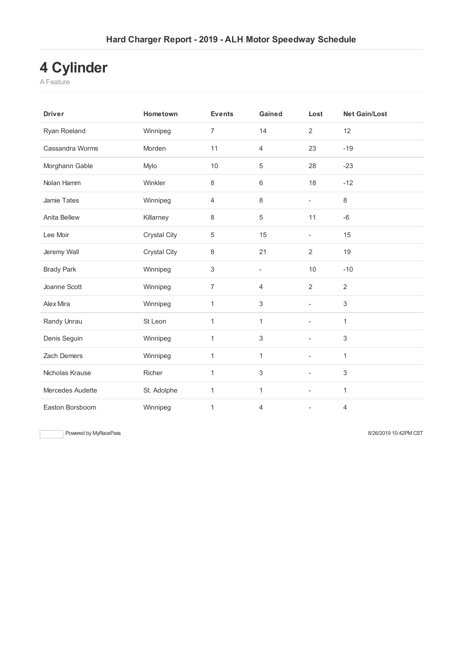## **4 Cylinder**

A Feature

| <b>Driver</b>      | Hometown            | <b>Events</b>  | Gained                   | Lost                     | <b>Net Gain/Lost</b> |
|--------------------|---------------------|----------------|--------------------------|--------------------------|----------------------|
| Ryan Roeland       | Winnipeg            | $\overline{7}$ | 14                       | $\overline{2}$           | 12                   |
| Cassandra Worms    | Morden              | 11             | $\overline{4}$           | 23                       | $-19$                |
| Morghann Gable     | Mylo                | 10             | 5                        | 28                       | $-23$                |
| Nolan Hamm         | Winkler             | 8              | 6                        | 18                       | $-12$                |
| Jamie Tates        | Winnipeg            | 4              | 8                        | $\overline{\phantom{a}}$ | 8                    |
| Anita Bellew       | Killarney           | 8              | 5                        | 11                       | $-6$                 |
| Lee Moir           | <b>Crystal City</b> | 5              | 15                       | $\overline{\phantom{0}}$ | 15                   |
| Jeremy Wall        | Crystal City        | 8              | 21                       | $\overline{2}$           | 19                   |
| <b>Brady Park</b>  | Winnipeg            | 3              | $\overline{\phantom{0}}$ | 10                       | $-10$                |
| Joanne Scott       | Winnipeg            | $\overline{7}$ | $\overline{4}$           | $\overline{2}$           | $\overline{2}$       |
| Alex Mira          | Winnipeg            | 1              | $\sqrt{3}$               | $\overline{\phantom{a}}$ | 3                    |
| Randy Unrau        | St Leon             | 1              | $\mathbf{1}$             | $\overline{\phantom{a}}$ | 1                    |
| Denis Seguin       | Winnipeg            | 1              | 3                        | $\overline{\phantom{a}}$ | 3                    |
| <b>Zach Demers</b> | Winnipeg            | 1              | $\mathbf{1}$             | ä,                       | 1                    |
| Nicholas Krause    | Richer              | $\mathbf{1}$   | 3                        | ٠                        | 3                    |
| Mercedes Audette   | St. Adolphe         | 1              | 1                        | ä,                       | 1                    |
| Easton Borsboom    | Winnipeg            | 1              | 4                        | $\overline{\phantom{0}}$ | $\overline{4}$       |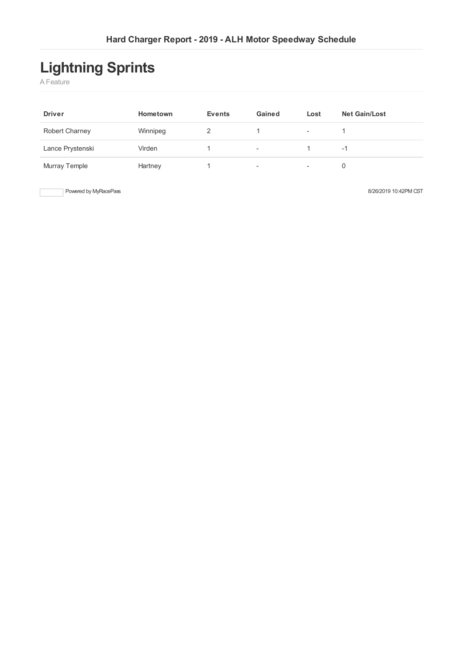# **Lightning Sprints**

A Feature

| <b>Driver</b>         | Hometown | <b>Events</b> | Gained                   | Lost                     | <b>Net Gain/Lost</b> |
|-----------------------|----------|---------------|--------------------------|--------------------------|----------------------|
| <b>Robert Charney</b> | Winnipeg |               |                          | $\overline{\phantom{a}}$ |                      |
| Lance Prystenski      | Virden   |               | $\overline{\phantom{a}}$ |                          | -1                   |
| Murray Temple         | Hartney  |               | ٠                        | $\overline{\phantom{a}}$ | 0                    |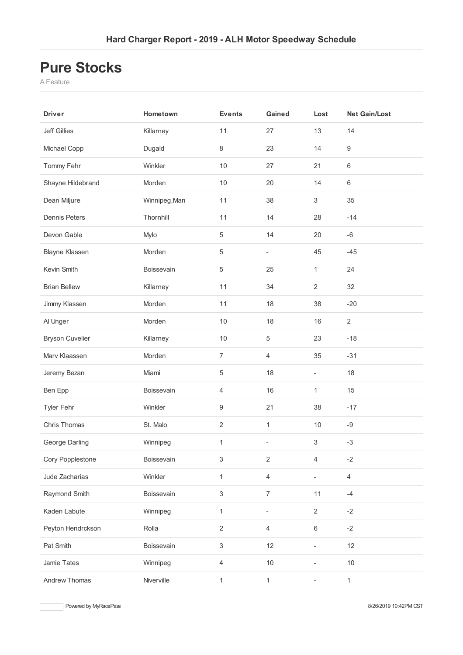#### **Pure Stocks**

A Feature

| <b>Driver</b>          | Hometown      | <b>Events</b>  | Gained                   | Lost           | <b>Net Gain/Lost</b> |
|------------------------|---------------|----------------|--------------------------|----------------|----------------------|
| <b>Jeff Gillies</b>    | Killarney     | 11             | 27                       | 13             | 14                   |
| Michael Copp           | Dugald        | 8              | 23                       | 14             | $\boldsymbol{9}$     |
| Tommy Fehr             | Winkler       | 10             | 27                       | 21             | $\,6$                |
| Shayne Hildebrand      | Morden        | 10             | 20                       | 14             | $\,6\,$              |
| Dean Miljure           | Winnipeg, Man | 11             | 38                       | $\mathfrak{S}$ | 35                   |
| <b>Dennis Peters</b>   | Thornhill     | 11             | 14                       | 28             | $-14$                |
| Devon Gable            | Mylo          | 5              | 14                       | 20             | $-6$                 |
| <b>Blayne Klassen</b>  | Morden        | 5              | $\overline{\phantom{a}}$ | 45             | $-45$                |
| Kevin Smith            | Boissevain    | 5              | 25                       | 1              | 24                   |
| <b>Brian Bellew</b>    | Killarney     | 11             | 34                       | $\overline{2}$ | 32                   |
| Jimmy Klassen          | Morden        | 11             | 18                       | 38             | $-20$                |
| Al Unger               | Morden        | $10$           | 18                       | 16             | $\sqrt{2}$           |
| <b>Bryson Cuvelier</b> | Killarney     | $10$           | $\,$ 5 $\,$              | 23             | $-18$                |
| Marv Klaassen          | Morden        | $\overline{7}$ | $\overline{4}$           | 35             | $-31$                |
| Jeremy Bezan           | Miami         | 5              | 18                       | $\blacksquare$ | 18                   |
| Ben Epp                | Boissevain    | $\overline{4}$ | 16                       | 1              | 15                   |
| <b>Tyler Fehr</b>      | Winkler       | 9              | 21                       | 38             | $-17$                |
| Chris Thomas           | St. Malo      | $\overline{c}$ | $\mathbf 1$              | $10$           | $-9$                 |
| George Darling         | Winnipeg      | $\mathbf{1}$   | $\overline{\phantom{a}}$ | $\mathfrak{S}$ | $-3$                 |
| Cory Popplestone       | Boissevain    | 3              | $\sqrt{2}$               | $\overline{4}$ | $-2$                 |
| Jude Zacharias         | Winkler       | $\mathbf{1}$   | $\overline{4}$           |                | $\overline{4}$       |
| Raymond Smith          | Boissevain    | 3              | $\boldsymbol{7}$         | 11             | $-4$                 |
| Kaden Labute           | Winnipeg      | $\mathbf{1}$   |                          | $\overline{2}$ | $-2$                 |
| Peyton Hendrckson      | Rolla         | $\overline{2}$ | $\overline{4}$           | $\,6\,$        | $-2$                 |
| Pat Smith              | Boissevain    | 3              | 12                       |                | 12                   |
| Jamie Tates            | Winnipeg      | $\overline{4}$ | $10$                     |                | $10$                 |
| Andrew Thomas          | Niverville    | $\mathbf{1}$   | $\mathbf{1}$             | $\blacksquare$ | $\mathbf{1}$         |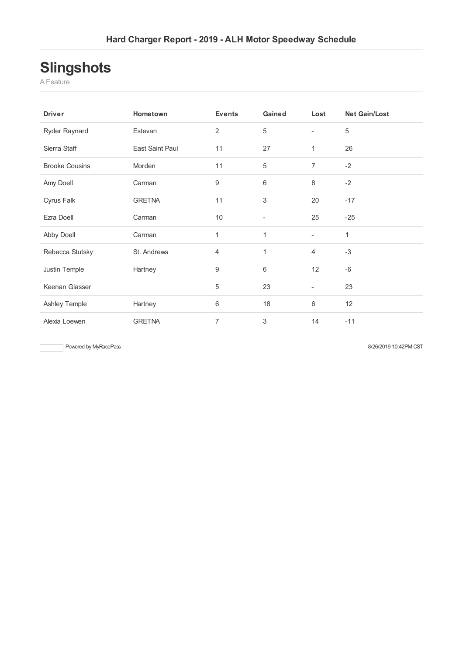## **Slingshots**

A Feature

| <b>Driver</b>         | Hometown        | <b>Events</b>    | Gained | Lost                     | <b>Net Gain/Lost</b> |
|-----------------------|-----------------|------------------|--------|--------------------------|----------------------|
| Ryder Raynard         | Estevan         | $\overline{2}$   | 5      | $\overline{\phantom{a}}$ | 5                    |
| Sierra Staff          | East Saint Paul | 11               | 27     | 1                        | 26                   |
| <b>Brooke Cousins</b> | Morden          | 11               | 5      | 7                        | $-2$                 |
| Amy Doell             | Carman          | $\boldsymbol{9}$ | 6      | 8                        | $-2$                 |
| Cyrus Falk            | <b>GRETNA</b>   | 11               | 3      | 20                       | $-17$                |
| Ezra Doell            | Carman          | 10               |        | 25                       | $-25$                |
| Abby Doell            | Carman          | 1                | 1      | $\blacksquare$           | 1                    |
| Rebecca Stutsky       | St. Andrews     | $\overline{4}$   | 1      | $\overline{4}$           | $-3$                 |
| Justin Temple         | Hartney         | 9                | 6      | 12                       | $-6$                 |
| Keenan Glasser        |                 | $\sqrt{5}$       | 23     | $\overline{\phantom{0}}$ | 23                   |
| Ashley Temple         | Hartney         | $\,6$            | 18     | 6                        | 12                   |
| Alexia Loewen         | <b>GRETNA</b>   | $\overline{7}$   | 3      | 14                       | $-11$                |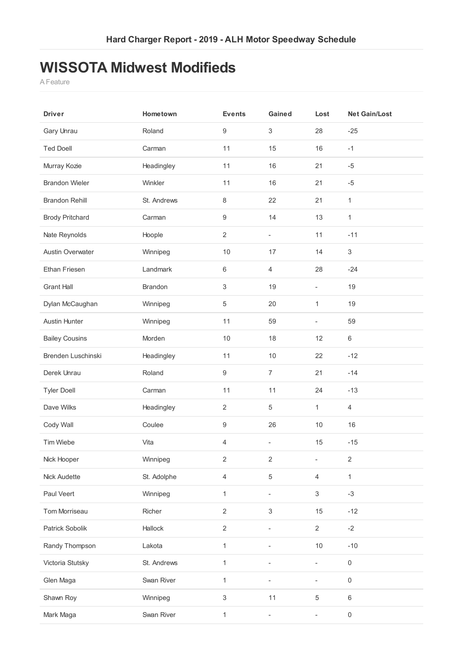### **WISSOTA Midwest Modifieds**

A Feature

| <b>Driver</b>           | Hometown       | <b>Events</b>             | Gained                   | Lost                         | <b>Net Gain/Lost</b> |
|-------------------------|----------------|---------------------------|--------------------------|------------------------------|----------------------|
| Gary Unrau              | Roland         | $\boldsymbol{9}$          | $\sqrt{3}$               | 28                           | $-25$                |
| <b>Ted Doell</b>        | Carman         | 11                        | 15                       | 16                           | $-1$                 |
| Murray Kozie            | Headingley     | 11                        | 16                       | 21                           | $-5$                 |
| <b>Brandon Wieler</b>   | Winkler        | 11                        | 16                       | 21                           | $-5$                 |
| <b>Brandon Rehill</b>   | St. Andrews    | $\,8\,$                   | 22                       | 21                           | $\mathbf{1}$         |
| <b>Brody Pritchard</b>  | Carman         | $\boldsymbol{9}$          | 14                       | 13                           | $\mathbf{1}$         |
| Nate Reynolds           | Hoople         | $\overline{2}$            | $\equiv$                 | 11                           | $-11$                |
| <b>Austin Overwater</b> | Winnipeg       | $10$                      | 17                       | 14                           | $\,3$                |
| Ethan Friesen           | Landmark       | 6                         | $\overline{4}$           | 28                           | $-24$                |
| <b>Grant Hall</b>       | <b>Brandon</b> | $\sqrt{3}$                | 19                       | ÷,                           | 19                   |
| Dylan McCaughan         | Winnipeg       | $\,$ 5 $\,$               | 20                       | 1                            | 19                   |
| <b>Austin Hunter</b>    | Winnipeg       | 11                        | 59                       | ä,                           | 59                   |
| <b>Bailey Cousins</b>   | Morden         | 10                        | 18                       | 12                           | $\,6$                |
| Brenden Luschinski      | Headingley     | 11                        | 10                       | 22                           | $-12$                |
| Derek Unrau             | Roland         | $\boldsymbol{9}$          | $\overline{7}$           | 21                           | $-14$                |
| <b>Tyler Doell</b>      | Carman         | 11                        | 11                       | 24                           | $-13$                |
| Dave Wilks              | Headingley     | $\overline{2}$            | 5                        | 1                            | $\overline{4}$       |
| Cody Wall               | Coulee         | $\boldsymbol{9}$          | 26                       | $10$                         | 16                   |
| Tim Wiebe               | Vita           | $\overline{4}$            | $\overline{\phantom{a}}$ | 15                           | $-15$                |
| Nick Hooper             | Winnipeg       | $\sqrt{2}$                | $\overline{2}$           |                              | $\sqrt{2}$           |
| Nick Audette            | St. Adolphe    | $\overline{4}$            | $\,$ 5 $\,$              | $\overline{4}$               | $\mathbf{1}$         |
| Paul Veert              | Winnipeg       | 1                         | ÷,                       | $\ensuremath{\mathsf{3}}$    | $-3$                 |
| Tom Morriseau           | Richer         | $\overline{2}$            | $\sqrt{3}$               | 15                           | $-12$                |
| Patrick Sobolik         | Hallock        | $\overline{2}$            | ٠                        | $\overline{2}$               | $-2$                 |
| Randy Thompson          | Lakota         | 1                         |                          | 10                           | $-10$                |
| Victoria Stutsky        | St. Andrews    | 1                         |                          | ÷.                           | $\,0\,$              |
| Glen Maga               | Swan River     | 1                         |                          | ÷,                           | $\mathsf{O}\xspace$  |
| Shawn Roy               | Winnipeg       | $\ensuremath{\mathsf{3}}$ | 11                       | $\,$ 5 $\,$                  | $\,6$                |
| Mark Maga               | Swan River     | $\mathbf{1}$              |                          | $\qquad \qquad \blacksquare$ | $\mathsf{O}\xspace$  |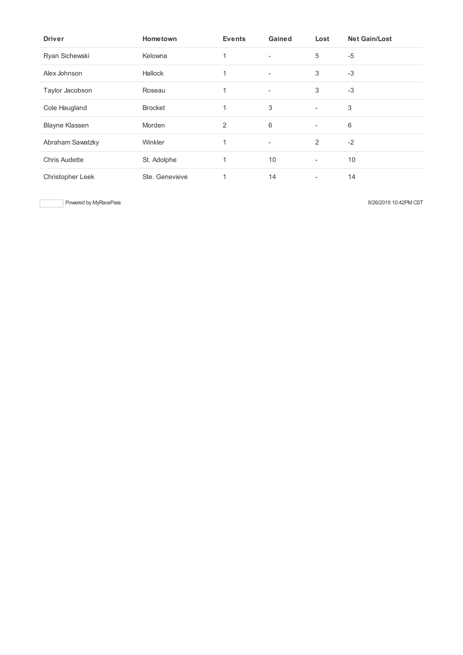| <b>Driver</b>         | Hometown       | <b>Events</b> | Gained                   | Lost                     | <b>Net Gain/Lost</b> |
|-----------------------|----------------|---------------|--------------------------|--------------------------|----------------------|
| Ryan Sichewski        | Kelowna        | 1             | $\overline{\phantom{a}}$ | 5                        | $-5$                 |
| Alex Johnson          | Hallock        | 1             | $\overline{\phantom{a}}$ | 3                        | $-3$                 |
| Taylor Jacobson       | Roseau         | 1             | $\overline{\phantom{a}}$ | 3                        | $-3$                 |
| Cole Haugland         | <b>Brocket</b> | 1             | 3                        | $\overline{\phantom{a}}$ | 3                    |
| <b>Blayne Klassen</b> | Morden         | 2             | 6                        | $\overline{\phantom{a}}$ | 6                    |
| Abraham Sawatzky      | Winkler        | 1             | $\overline{\phantom{a}}$ | 2                        | $-2$                 |
| <b>Chris Audette</b>  | St. Adolphe    | 1             | 10                       | $\overline{\phantom{a}}$ | 10                   |
| Christopher Leek      | Ste. Genevieve | 1             | 14                       | $\overline{\phantom{a}}$ | 14                   |

Powered by MyRacePass 8/26/2019 10:42PM CST

 $\overline{\phantom{a}}$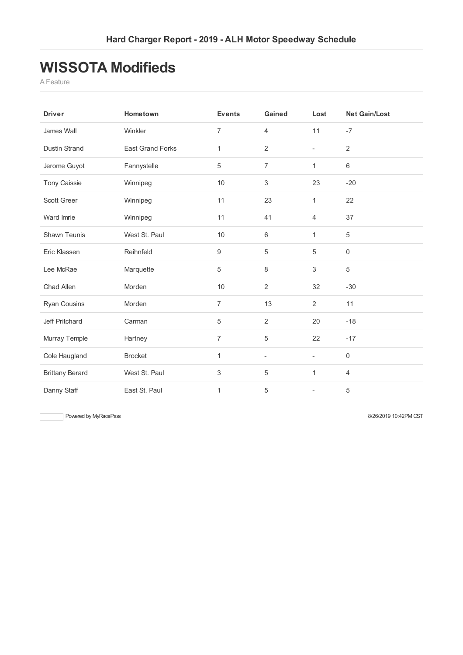### **WISSOTA Modifieds**

A Feature

| <b>Driver</b>          | Hometown                | <b>Events</b>  | Gained                   | Lost                     | <b>Net Gain/Lost</b> |
|------------------------|-------------------------|----------------|--------------------------|--------------------------|----------------------|
| James Wall             | Winkler                 | 7              | $\overline{4}$           | 11                       | $-7$                 |
| <b>Dustin Strand</b>   | <b>East Grand Forks</b> | 1              | $\overline{2}$           | $\overline{\phantom{a}}$ | $\overline{2}$       |
| Jerome Guyot           | Fannystelle             | 5              | $\overline{7}$           | $\mathbf{1}$             | 6                    |
| <b>Tony Caissie</b>    | Winnipeg                | 10             | 3                        | 23                       | $-20$                |
| <b>Scott Greer</b>     | Winnipeg                | 11             | 23                       | $\mathbf{1}$             | 22                   |
| Ward Imrie             | Winnipeg                | 11             | 41                       | $\overline{4}$           | 37                   |
| Shawn Teunis           | West St. Paul           | 10             | $6\,$                    | $\mathbf{1}$             | 5                    |
| Eric Klassen           | Reihnfeld               | 9              | 5                        | 5                        | $\boldsymbol{0}$     |
| Lee McRae              | Marquette               | 5              | $\,8\,$                  | 3                        | $\sqrt{5}$           |
| Chad Allen             | Morden                  | 10             | $\overline{2}$           | 32                       | $-30$                |
| <b>Ryan Cousins</b>    | Morden                  | $\overline{7}$ | 13                       | $\overline{2}$           | 11                   |
| Jeff Pritchard         | Carman                  | 5              | $\sqrt{2}$               | 20                       | $-18$                |
| Murray Temple          | Hartney                 | $\overline{7}$ | 5                        | 22                       | $-17$                |
| Cole Haugland          | <b>Brocket</b>          | 1              | $\overline{\phantom{a}}$ | $\overline{\phantom{a}}$ | $\boldsymbol{0}$     |
| <b>Brittany Berard</b> | West St. Paul           | 3              | 5                        | $\mathbf{1}$             | $\overline{4}$       |
| Danny Staff            | East St. Paul           | 1              | 5                        |                          | 5                    |